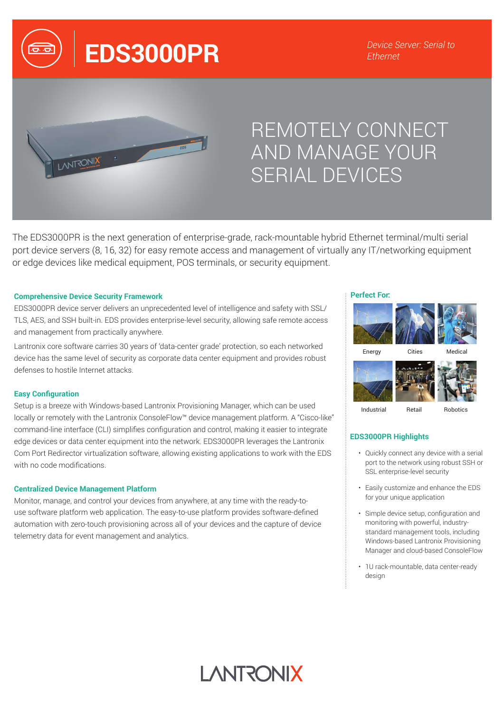**EDS3000PR** *Device Server: Serial to* 



# REMOTELY CONNECT AND MANAGE YOUR SERIAL DEVICES

The EDS3000PR is the next generation of enterprise-grade, rack-mountable hybrid Ethernet terminal/multi serial port device servers (8, 16, 32) for easy remote access and management of virtually any IT/networking equipment or edge devices like medical equipment, POS terminals, or security equipment.

#### **Comprehensive Device Security Framework**

EDS3000PR device server delivers an unprecedented level of intelligence and safety with SSL/ TLS, AES, and SSH built-in. EDS provides enterprise-level security, allowing safe remote access and management from practically anywhere.

Lantronix core software carries 30 years of 'data-center grade' protection, so each networked device has the same level of security as corporate data center equipment and provides robust defenses to hostile Internet attacks.

#### **Easy Configuration**

Setup is a breeze with Windows-based Lantronix Provisioning Manager, which can be used locally or remotely with the Lantronix ConsoleFlow™ device management platform. A "Cisco-like" command-line interface (CLI) simplifies configuration and control, making it easier to integrate edge devices or data center equipment into the network. EDS3000PR leverages the Lantronix Com Port Redirector virtualization software, allowing existing applications to work with the EDS with no code modifications.

#### **Centralized Device Management Platform**

Monitor, manage, and control your devices from anywhere, at any time with the ready-touse software platform web application. The easy-to-use platform provides software-defined automation with zero-touch provisioning across all of your devices and the capture of device telemetry data for event management and analytics.

#### **Perfect For:**









# **EDS3000PR Highlights**

- Quickly connect any device with a serial port to the network using robust SSH or SSL enterprise-level security
- Easily customize and enhance the EDS for your unique application
- Simple device setup, configuration and monitoring with powerful, industrystandard management tools, including Windows-based Lantronix Provisioning Manager and cloud-based ConsoleFlow
- 1U rack-mountable, data center-ready design

# **LANTRONIX**